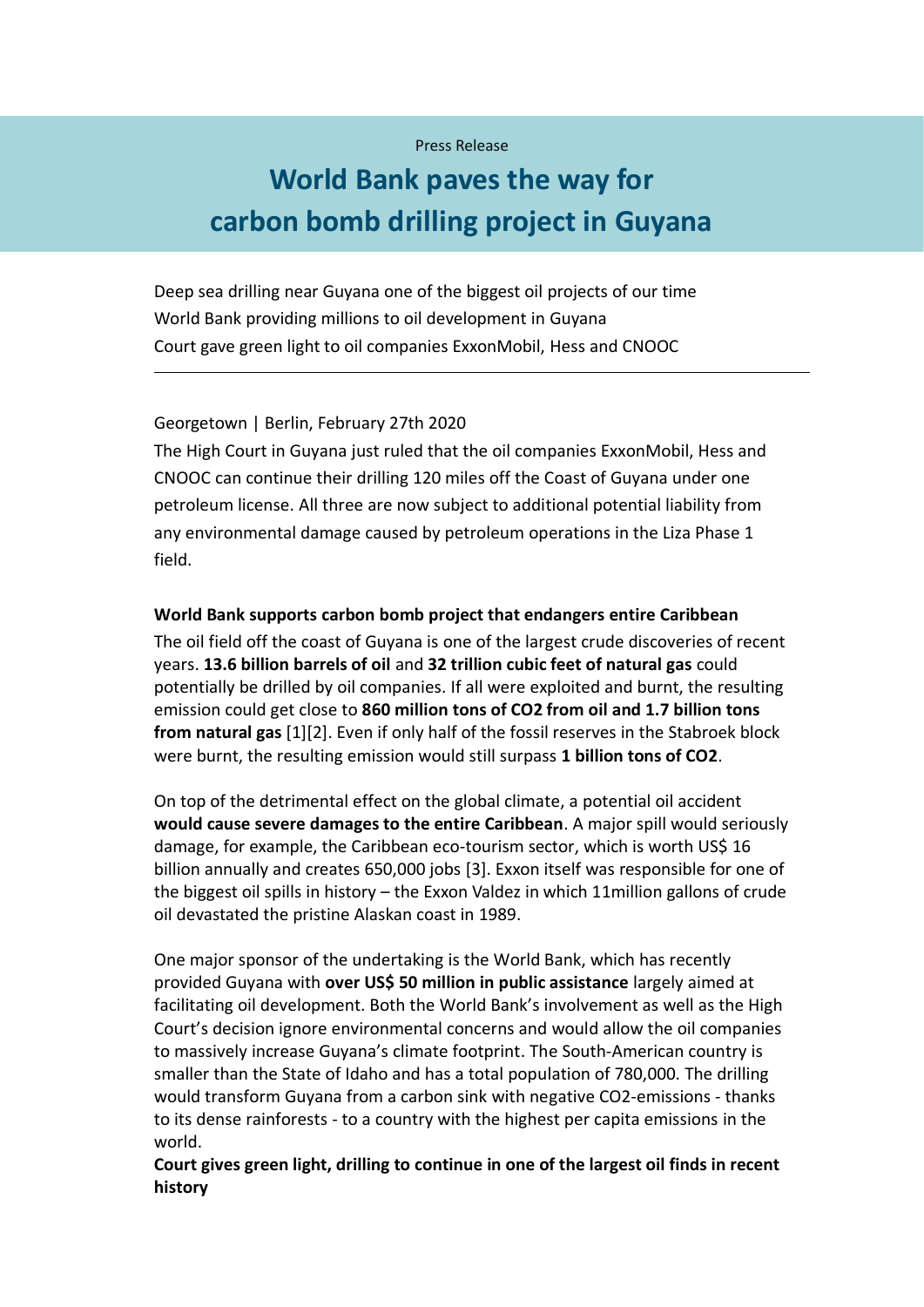## Press Release

# **World Bank paves the way for carbon bomb drilling project in Guyana**

Deep sea drilling near Guyana one of the biggest oil projects of our time World Bank providing millions to oil development in Guyana Court gave green light to oil companies ExxonMobil, Hess and CNOOC

## Georgetown | Berlin, February 27th 2020

The High Court in Guyana just ruled that the oil companies ExxonMobil, Hess and CNOOC can continue their drilling 120 miles off the Coast of Guyana under one petroleum license. All three are now subject to additional potential liability from any environmental damage caused by petroleum operations in the Liza Phase 1 field.

#### **World Bank supports carbon bomb project that endangers entire Caribbean**

The oil field off the coast of Guyana is one of the largest crude discoveries of recent years. **13.6 billion barrels of oil** and **32 trillion cubic feet of natural gas** could potentially be drilled by oil companies. If all were exploited and burnt, the resulting emission could get close to **860 million tons of CO2 from oil and 1.7 billion tons from natural gas** [1][2]. Even if only half of the fossil reserves in the Stabroek block were burnt, the resulting emission would still surpass **1 billion tons of CO2**.

On top of the detrimental effect on the global climate, a potential oil accident **would cause severe damages to the entire Caribbean**. A major spill would seriously damage, for example, the Caribbean eco-tourism sector, which is worth US\$ 16 billion annually and creates 650,000 jobs [3]. Exxon itself was responsible for one of the biggest oil spills in history – the Exxon Valdez in which 11million gallons of crude oil devastated the pristine Alaskan coast in 1989.

One major sponsor of the undertaking is the World Bank, which has recently provided Guyana with **over US\$ 50 million in public assistance** largely aimed at facilitating oil development. Both the World Bank's involvement as well as the High Court's decision ignore environmental concerns and would allow the oil companies to massively increase Guyana's climate footprint. The South-American country is smaller than the State of Idaho and has a total population of 780,000. The drilling would transform Guyana from a carbon sink with negative CO2-emissions - thanks to its dense rainforests - to a country with the highest per capita emissions in the world.

## **Court gives green light, drilling to continue in one of the largest oil finds in recent history**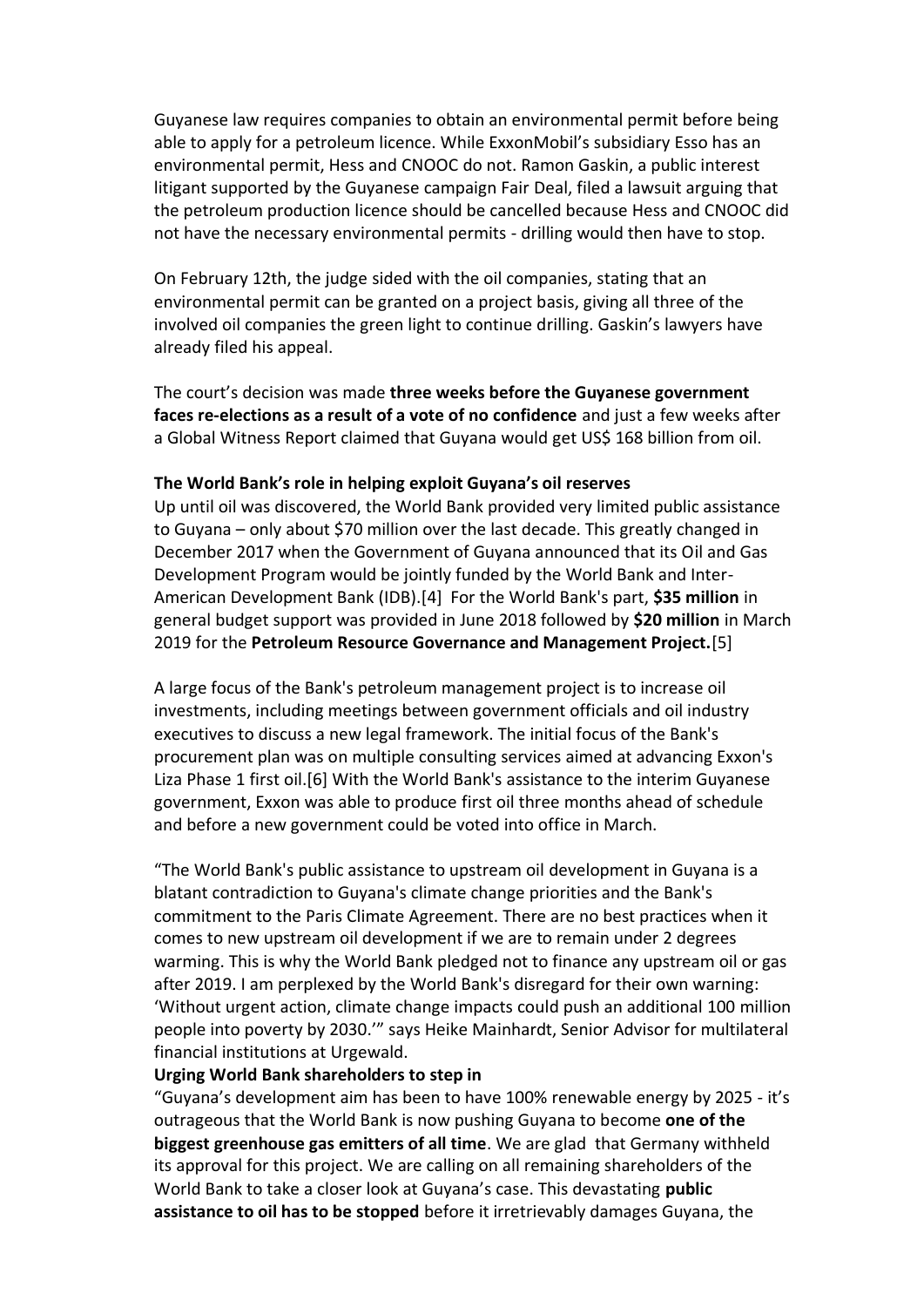Guyanese law requires companies to obtain an environmental permit before being able to apply for a petroleum licence. While ExxonMobil's subsidiary Esso has an environmental permit, Hess and CNOOC do not. Ramon Gaskin, a public interest litigant supported by the Guyanese campaign Fair Deal, filed a lawsuit arguing that the petroleum production licence should be cancelled because Hess and CNOOC did not have the necessary environmental permits - drilling would then have to stop.

On February 12th, the judge sided with the oil companies, stating that an environmental permit can be granted on a project basis, giving all three of the involved oil companies the green light to continue drilling. Gaskin's lawyers have already filed his appeal.

The court's decision was made **three weeks before the Guyanese government faces re-elections as a result of a vote of no confidence** and just a few weeks after a Global Witness Report claimed that Guyana would get US\$ 168 billion from oil.

## **The World Bank's role in helping exploit Guyana's oil reserves**

Up until oil was discovered, the World Bank provided very limited public assistance to Guyana – only about \$70 million over the last decade. This greatly changed in December 2017 when the Government of Guyana announced that its Oil and Gas Development Program would be jointly funded by the World Bank and Inter-American Development Bank (IDB).[4] For the World Bank's part, **\$35 million** in general budget support was provided in June 2018 followed by **\$20 million** in March 2019 for the **Petroleum Resource Governance and Management Project.**[5]

A large focus of the Bank's petroleum management project is to increase oil investments, including meetings between government officials and oil industry executives to discuss a new legal framework. The initial focus of the Bank's procurement plan was on multiple consulting services aimed at advancing Exxon's Liza Phase 1 first oil.[6] With the World Bank's assistance to the interim Guyanese government, Exxon was able to produce first oil three months ahead of schedule and before a new government could be voted into office in March.

"The World Bank's public assistance to upstream oil development in Guyana is a blatant contradiction to Guyana's climate change priorities and the Bank's commitment to the Paris Climate Agreement. There are no best practices when it comes to new upstream oil development if we are to remain under 2 degrees warming. This is why the World Bank pledged not to finance any upstream oil or gas after 2019. I am perplexed by the World Bank's disregard for their own warning: 'Without urgent action, climate change impacts could push an additional 100 million people into poverty by 2030.'" says Heike Mainhardt, Senior Advisor for multilateral financial institutions at Urgewald.

## **Urging World Bank shareholders to step in**

"Guyana's development aim has been to have 100% renewable energy by 2025 - it's outrageous that the World Bank is now pushing Guyana to become **one of the biggest greenhouse gas emitters of all time**. We are glad that Germany withheld its approval for this project. We are calling on all remaining shareholders of the World Bank to take a closer look at Guyana's case. This devastating **public assistance to oil has to be stopped** before it irretrievably damages Guyana, the